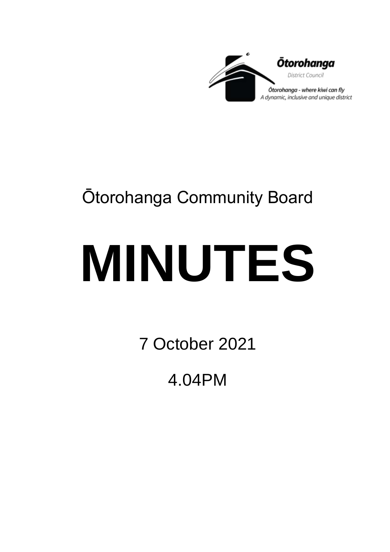

# Ōtorohanga Community Board

# **MINUTES**

7 October 2021

4.04PM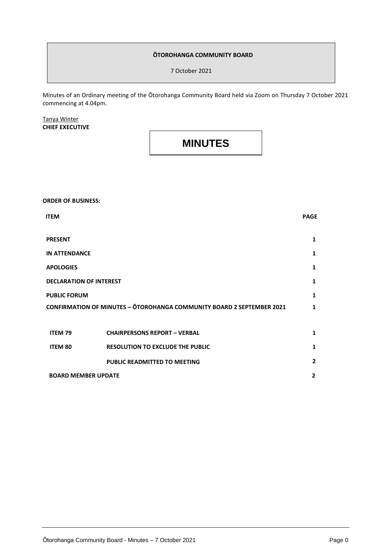#### **ŌTOROHANGA COMMUNITY BOARD**

7 October 2021

Minutes of an Ordinary meeting of the Ōtorohanga Community Board held via Zoom on Thursday 7 October 2021 commencing at 4.04pm.

#### Tanya Winter **CHIEF EXECUTIVE**

### **MINUTES**

## **ORDER OF BUSINESS: ITEM PAGE PRESENT 1 IN ATTENDANCE 1 APOLOGIES 1 DECLARATION OF INTEREST 1 PUBLIC FORUM CONFIRMATION OF MINUTES – ŌTOROHANGA COMMUNITY BOARD 2 SEPTEMBER 2021 1 1 ITEM 79 CHAIRPERSONS REPORT – VERBAL 1 ITEM 80 RESOLUTION TO EXCLUDE THE PUBLIC 1 PUBLIC READMITTED TO MEETING 2 BOARD MEMBER UPDATE 2**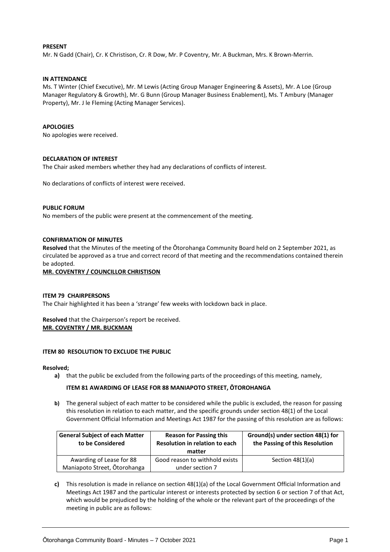#### **PRESENT**

Mr. N Gadd (Chair), Cr. K Christison, Cr. R Dow, Mr. P Coventry, Mr. A Buckman, Mrs. K Brown-Merrin.

#### **IN ATTENDANCE**

Ms. T Winter (Chief Executive), Mr. M Lewis (Acting Group Manager Engineering & Assets), Mr. A Loe (Group Manager Regulatory & Growth), Mr. G Bunn (Group Manager Business Enablement), Ms. T Ambury (Manager Property), Mr. J le Fleming (Acting Manager Services).

#### **APOLOGIES**

No apologies were received.

#### **DECLARATION OF INTEREST**

The Chair asked members whether they had any declarations of conflicts of interest.

No declarations of conflicts of interest were received.

#### **PUBLIC FORUM**

No members of the public were present at the commencement of the meeting.

#### **CONFIRMATION OF MINUTES**

**Resolved** that the Minutes of the meeting of the Ōtorohanga Community Board held on 2 September 2021, as circulated be approved as a true and correct record of that meeting and the recommendations contained therein be adopted.

#### **MR. COVENTRY / COUNCILLOR CHRISTISON**

#### **ITEM 79 CHAIRPERSONS**

The Chair highlighted it has been a 'strange' few weeks with lockdown back in place.

**Resolved** that the Chairperson's report be received. **MR. COVENTRY / MR. BUCKMAN**

#### **ITEM 80 RESOLUTION TO EXCLUDE THE PUBLIC**

#### **Resolved;**

**a)** that the public be excluded from the following parts of the proceedings of this meeting, namely,

#### **ITEM 81 AWARDING OF LEASE FOR 88 MANIAPOTO STREET, ŌTOROHANGA**

**b)** The general subject of each matter to be considered while the public is excluded, the reason for passing this resolution in relation to each matter, and the specific grounds under section 48(1) of the Local Government Official Information and Meetings Act 1987 for the passing of this resolution are as follows:

| <b>General Subject of each Matter</b><br>to be Considered | <b>Reason for Passing this</b><br>Resolution in relation to each<br>matter | Ground(s) under section 48(1) for<br>the Passing of this Resolution |
|-----------------------------------------------------------|----------------------------------------------------------------------------|---------------------------------------------------------------------|
| Awarding of Lease for 88                                  | Good reason to withhold exists                                             | Section $48(1)(a)$                                                  |
| Maniapoto Street, Ōtorohanga                              | under section 7                                                            |                                                                     |

**c)** This resolution is made in reliance on section 48(1)(a) of the Local Government Official Information and Meetings Act 1987 and the particular interest or interests protected by section 6 or section 7 of that Act, which would be prejudiced by the holding of the whole or the relevant part of the proceedings of the meeting in public are as follows: